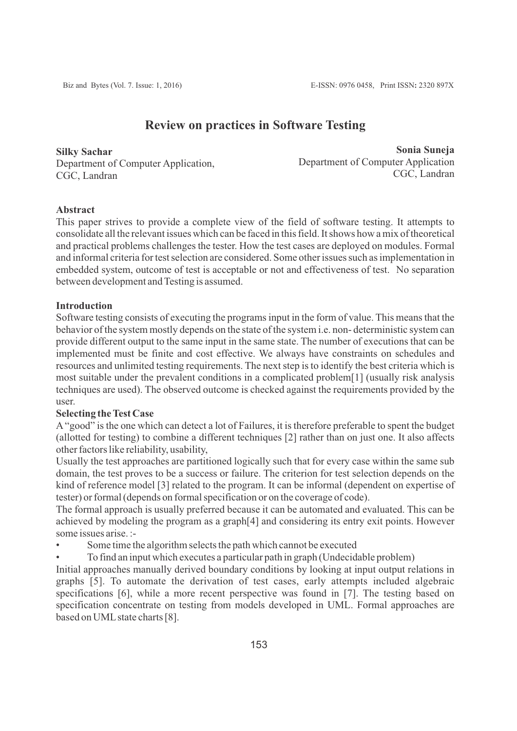# **Review on practices in Software Testing**

**Silky Sachar** Department of Computer Application, CGC, Landran

**Sonia Suneja** Department of Computer Application CGC, Landran

## **Abstract**

This paper strives to provide a complete view of the field of software testing. It attempts to consolidate all the relevant issues which can be faced in this field. It shows how a mix of theoretical and practical problems challenges the tester. How the test cases are deployed on modules. Formal and informal criteria for test selection are considered. Some other issues such as implementation in embedded system, outcome of test is acceptable or not and effectiveness of test. No separation between development and Testing is assumed.

## **Introduction**

Software testing consists of executing the programs input in the form of value. This means that the behavior of the system mostly depends on the state of the system i.e. non- deterministic system can provide different output to the same input in the same state. The number of executions that can be implemented must be finite and cost effective. We always have constraints on schedules and resources and unlimited testing requirements. The next step is to identify the best criteria which is most suitable under the prevalent conditions in a complicated problem[1] (usually risk analysis techniques are used). The observed outcome is checked against the requirements provided by the user.

## **Selecting the Test Case**

A"good" is the one which can detect a lot of Failures, it is therefore preferable to spent the budget (allotted for testing) to combine a different techniques [2] rather than on just one. It also affects other factors like reliability, usability,

Usually the test approaches are partitioned logically such that for every case within the same sub domain, the test proves to be a success or failure. The criterion for test selection depends on the kind of reference model [3] related to the program. It can be informal (dependent on expertise of tester) or formal (depends on formal specification or on the coverage of code).

The formal approach is usually preferred because it can be automated and evaluated. This can be achieved by modeling the program as a graph[4] and considering its entry exit points. However some issues arise. :-

Some time the algorithm selects the path which cannot be executed

• To find an input which executes a particular path in graph (Undecidable problem)

Initial approaches manually derived boundary conditions by looking at input output relations in graphs [5]. To automate the derivation of test cases, early attempts included algebraic specifications [6], while a more recent perspective was found in [7]. The testing based on specification concentrate on testing from models developed in UML. Formal approaches are based on UML state charts [8].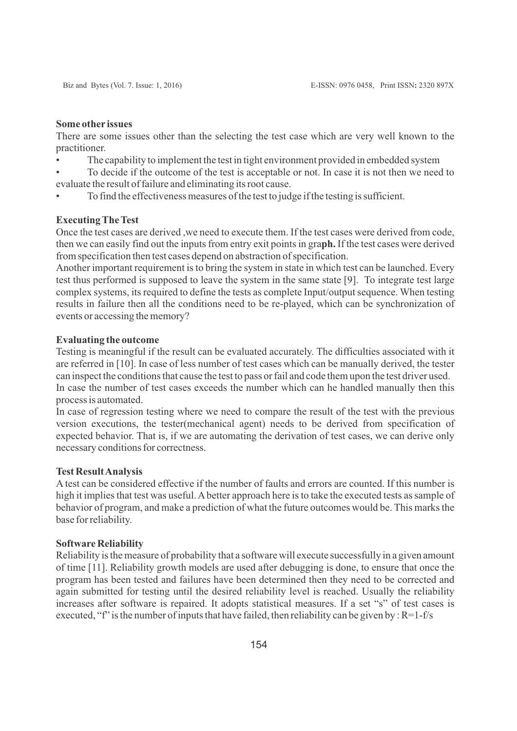## **Some other issues**

There are some issues other than the selecting the test case which are very well known to the practitioner.

• The capability to implement the test in tight environment provided in embedded system

• To decide if the outcome of the test is acceptable or not. In case it is not then we need to evaluate the result of failure and eliminating its root cause.

• To find the effectiveness measures of the test to judge if the testing is sufficient.

## **Executing The Test**

Once the test cases are derived ,we need to execute them. If the test cases were derived from code, then we can easily find out the inputs from entry exit points in gra**ph.** If the test cases were derived from specification then test cases depend on abstraction of specification.

Another important requirement is to bring the system in state in which test can be launched. Every test thus performed is supposed to leave the system in the same state [9]. To integrate test large complex systems, its required to define the tests as complete Input/output sequence. When testing results in failure then all the conditions need to be re-played, which can be synchronization of events or accessing the memory?

## **Evaluating the outcome**

Testing is meaningful if the result can be evaluated accurately. The difficulties associated with it are referred in [10]. In case of less number of test cases which can be manually derived, the tester can inspect the conditions that cause the test to pass or fail and code them upon the test driver used. In case the number of test cases exceeds the number which can he handled manually then this process is automated.

In case of regression testing where we need to compare the result of the test with the previous version executions, the tester(mechanical agent) needs to be derived from specification of expected behavior. That is, if we are automating the derivation of test cases, we can derive only necessary conditions for correctness.

## **Test Result Analysis**

A test can be considered effective if the number of faults and errors are counted. If this number is high it implies that test was useful. Abetter approach here is to take the executed tests as sample of behavior of program, and make a prediction of what the future outcomes would be. This marks the base for reliability.

#### **Software Reliability**

Reliability is the measure of probability that a software will execute successfully in a given amount of time [11]. Reliability growth models are used after debugging is done, to ensure that once the program has been tested and failures have been determined then they need to be corrected and again submitted for testing until the desired reliability level is reached. Usually the reliability increases after software is repaired. It adopts statistical measures. If a set "s" of test cases is executed, "f" is the number of inputs that have failed, then reliability can be given by :  $R=1-f/s$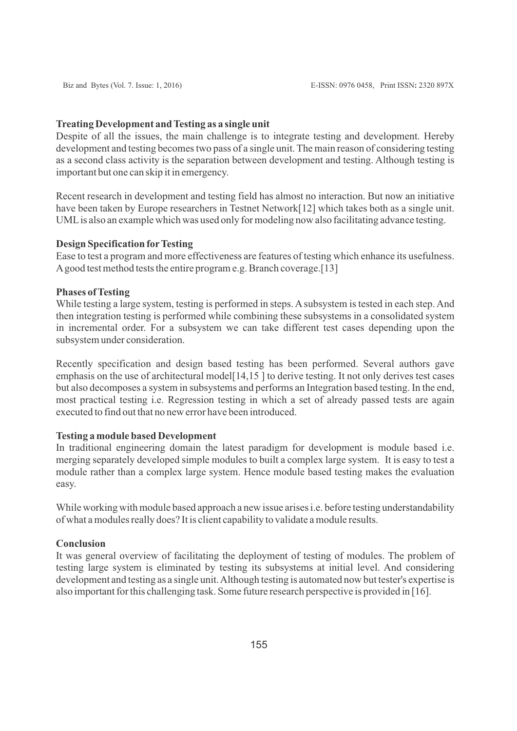#### **Treating Development and Testing as a single unit**

Despite of all the issues, the main challenge is to integrate testing and development. Hereby development and testing becomes two pass of a single unit. The main reason of considering testing as a second class activity is the separation between development and testing. Although testing is important but one can skip it in emergency.

Recent research in development and testing field has almost no interaction. But now an initiative have been taken by Europe researchers in Testnet Network[12] which takes both as a single unit. UMLis also an example which was used only for modeling now also facilitating advance testing.

## **Design Specification forTesting**

Ease to test a program and more effectiveness are features of testing which enhance its usefulness. Agood test method tests the entire program e.g. Branch coverage.[13]

#### **Phases of Testing**

While testing a large system, testing is performed in steps. Asubsystem is tested in each step. And then integration testing is performed while combining these subsystems in a consolidated system in incremental order. For a subsystem we can take different test cases depending upon the subsystem under consideration.

Recently specification and design based testing has been performed. Several authors gave emphasis on the use of architectural model  $[14,15]$  to derive testing. It not only derives test cases but also decomposes a system in subsystems and performs an Integration based testing. In the end, most practical testing i.e. Regression testing in which a set of already passed tests are again executed to find out that no new error have been introduced.

## **Testing a module based Development**

In traditional engineering domain the latest paradigm for development is module based i.e. merging separately developed simple modules to built a complex large system. It is easy to test a module rather than a complex large system. Hence module based testing makes the evaluation easy.

While working with module based approach a new issue arises i.e. before testing understandability of what a modules really does? It is client capability to validate a module results.

### **Conclusion**

It was general overview of facilitating the deployment of testing of modules. The problem of testing large system is eliminated by testing its subsystems at initial level. And considering development and testing as a single unit. Although testing is automated now but tester's expertise is also important for this challenging task. Some future research perspective is provided in [16].